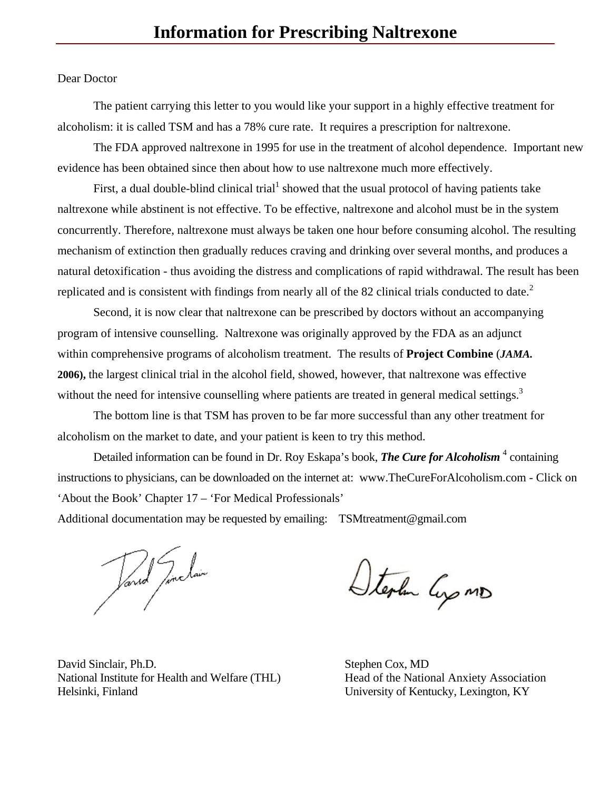## Dear Doctor

The patient carrying this letter to you would like your support in a highly effective treatment for alcoholism: it is called TSM and has a 78% cure rate. It requires a prescription for naltrexone.

The FDA approved naltrexone in 1995 for use in the treatment of alcohol dependence. Important new evidence has been obtained since then about how to use naltrexone much more effectively.

First, a dual double-blind clinical trial  $^1$  showed that the usual protocol of having patients take naltrexone while abstinent is not effective. To be effective, naltrexone and alcohol must be in the system concurrently. Therefore, naltrexone must always be taken one hour before consuming alcohol. The resulting mechanism of extinction then gradually reduces craving and drinking over several months, and produces a natural detoxification - thus avoiding the distress and complications of rapid withdrawal. The result has been replicated and is consistent with findings from nearly all of the 82 clinical trials conducted to date.<sup>2</sup>

Second, it is now clear that naltrexone can be prescribed by doctors without an accompanying program of intensive counselling. Naltrexone was originally approved by the FDA as an adjunct within comprehensive programs of alcoholism treatment. The results of **Project Combine** (*JAMA.* **2006),** the largest clinical trial in the alcohol field, showed, however, that naltrexone was effective without the need for intensive counselling where patients are treated in general medical settings.<sup>3</sup>

The bottom line is that TSM has proven to be far more successful than any other treatment for alcoholism on the market to date, and your patient is keen to try this method.

Detailed information can be found in Dr. Roy Eskapa's book, **The Cure for Alcoholism**<sup>4</sup> containing instructions to physicians, can be downloaded on the internet at: www.TheCureForAlcoholism.com - Click on 'About the Book' Chapter 17 – 'For Medical Professionals'

Additional documentation may be requested by emailing: TSMtreatment@gmail.com

Vand Junclain

Stephen Cyp MD

David Sinclair, Ph.D. Stephen Cox, MD National Institute for Health and Welfare (THL) Head of the National Anxiety Association Helsinki, Finland University of Kentucky, Lexington, KY